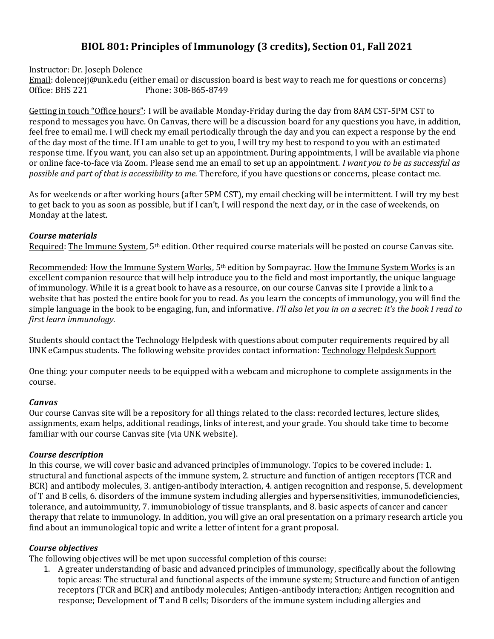# **BIOL 801: Principles of Immunology (3 credits), Section 01, Fall 2021**

Instructor: Dr. Joseph Dolence

Email: dolencejj@unk.edu (either email or discussion board is best way to reach me for questions or concerns) Office: BHS 221 Phone: 308-865-8749

Getting in touch "Office hours": I will be available Monday-Friday during the day from 8AM CST-5PM CST to respond to messages you have. On Canvas, there will be a discussion board for any questions you have, in addition, feel free to email me. I will check my email periodically through the day and you can expect a response by the end of the day most of the time. If I am unable to get to you, I will try my best to respond to you with an estimated response time. If you want, you can also set up an appointment. During appointments, I will be available via phone or online face-to-face via Zoom. Please send me an email to set up an appointment. *I want you to be as successful as possible and part of that is accessibility to me.* Therefore, if you have questions or concerns, please contact me.

As for weekends or after working hours (after 5PM CST), my email checking will be intermittent. I will try my best to get back to you as soon as possible, but if I can't, I will respond the next day, or in the case of weekends, on Monday at the latest.

### *Course materials*

Required: The Immune System, 5th edition. Other required course materials will be posted on course Canvas site.

Recommended: How the Immune System Works, 5th edition by Sompayrac. How the Immune System Works is an excellent companion resource that will help introduce you to the field and most importantly, the unique language of immunology. While it is a great book to have as a resource, on our course Canvas site I provide a link to a website that has posted the entire book for you to read. As you learn the concepts of immunology, you will find the simple language in the book to be engaging, fun, and informative. *I'll also let you in on a secret: it's the book I read to first learn immunology.*

Students should contact the Technology Helpdesk with questions about computer requirements required by all UNK eCampus students. The following website provides contact information: [Technology Helpdesk Support](https://www.unk.edu/offices/its/help_desk/index.php)

One thing: your computer needs to be equipped with a webcam and microphone to complete assignments in the course.

# *Canvas*

Our course Canvas site will be a repository for all things related to the class: recorded lectures, lecture slides, assignments, exam helps, additional readings, links of interest, and your grade. You should take time to become familiar with our course Canvas site (via UNK website).

# *Course description*

In this course, we will cover basic and advanced principles of immunology. Topics to be covered include: 1. structural and functional aspects of the immune system, 2. structure and function of antigen receptors (TCR and BCR) and antibody molecules, 3. antigen-antibody interaction, 4. antigen recognition and response, 5. development of T and B cells, 6. disorders of the immune system including allergies and hypersensitivities, immunodeficiencies, tolerance, and autoimmunity, 7. immunobiology of tissue transplants, and 8. basic aspects of cancer and cancer therapy that relate to immunology. In addition, you will give an oral presentation on a primary research article you find about an immunological topic and write a letter of intent for a grant proposal.

# *Course objectives*

The following objectives will be met upon successful completion of this course:

1. A greater understanding of basic and advanced principles of immunology, specifically about the following topic areas: The structural and functional aspects of the immune system; Structure and function of antigen receptors (TCR and BCR) and antibody molecules; Antigen-antibody interaction; Antigen recognition and response; Development of T and B cells; Disorders of the immune system including allergies and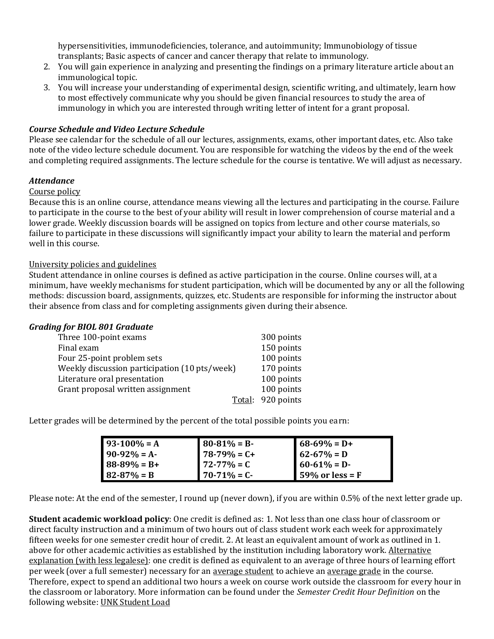hypersensitivities, immunodeficiencies, tolerance, and autoimmunity; Immunobiology of tissue transplants; Basic aspects of cancer and cancer therapy that relate to immunology.

- 2. You will gain experience in analyzing and presenting the findings on a primary literature article about an immunological topic.
- 3. You will increase your understanding of experimental design, scientific writing, and ultimately, learn how to most effectively communicate why you should be given financial resources to study the area of immunology in which you are interested through writing letter of intent for a grant proposal.

### *Course Schedule and Video Lecture Schedule*

Please see calendar for the schedule of all our lectures, assignments, exams, other important dates, etc. Also take note of the video lecture schedule document. You are responsible for watching the videos by the end of the week and completing required assignments. The lecture schedule for the course is tentative. We will adjust as necessary.

#### *Attendance*

#### Course policy

Because this is an online course, attendance means viewing all the lectures and participating in the course. Failure to participate in the course to the best of your ability will result in lower comprehension of course material and a lower grade. Weekly discussion boards will be assigned on topics from lecture and other course materials, so failure to participate in these discussions will significantly impact your ability to learn the material and perform well in this course.

#### University policies and guidelines

Student attendance in online courses is defined as active participation in the course. Online courses will, at a minimum, have weekly mechanisms for student participation, which will be documented by any or all the following methods: discussion board, assignments, quizzes, etc. Students are responsible for informing the instructor about their absence from class and for completing assignments given during their absence.

#### *Grading for BIOL 801 Graduate*

| Three 100-point exams                         | 300 points        |
|-----------------------------------------------|-------------------|
| Final exam                                    | 150 points        |
| Four 25-point problem sets                    | 100 points        |
| Weekly discussion participation (10 pts/week) | 170 points        |
| Literature oral presentation                  | 100 points        |
| Grant proposal written assignment             | 100 points        |
|                                               | Total: 920 points |

Letter grades will be determined by the percent of the total possible points you earn:

| $93-100% = A$   | $80-81\% = B$    | $68-69\% = D+$                 |
|-----------------|------------------|--------------------------------|
| $90-92% = A$    | $178-79\% = C+$  | $62 - 67\% = D$                |
| $88-89\% = B+$  | $172 - 77\% = C$ | $60-61\% = D$                  |
| $82 - 87\% = B$ | $170 - 71\% = C$ | $\blacksquare$ 59% or less = F |

Please note: At the end of the semester, I round up (never down), if you are within 0.5% of the next letter grade up.

**Student academic workload policy**: One credit is defined as: 1. Not less than one class hour of classroom or direct faculty instruction and a minimum of two hours out of class student work each week for approximately fifteen weeks for one semester credit hour of credit. 2. At least an equivalent amount of work as outlined in 1. above for other academic activities as established by the institution including laboratory work. Alternative explanation (with less legalese): one credit is defined as equivalent to an average of three hours of learning effort per week (over a full semester) necessary for an average student to achieve an average grade in the course. Therefore, expect to spend an additional two hours a week on course work outside the classroom for every hour in the classroom or laboratory. More information can be found under the *Semester Credit Hour Definition* on the following website[: UNK Student Load](https://catalog.unk.edu/undergraduate/academics/academic-regulations/student-load/)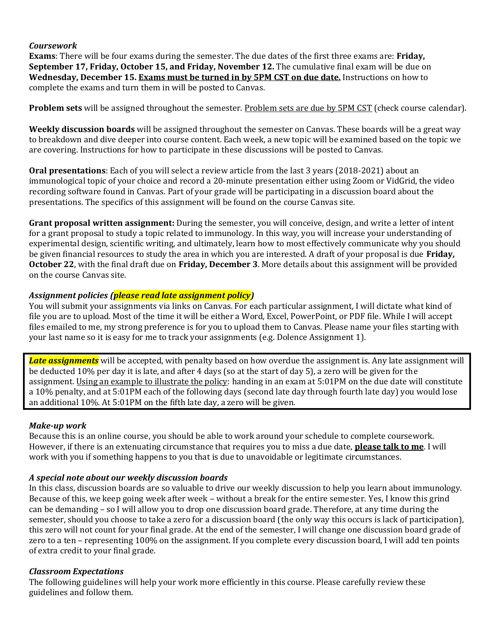### *Coursework*

**Exams**: There will be four exams during the semester. The due dates of the first three exams are: **Friday, September 17, Friday, October 15, and Friday, November 12.** The cumulative final exam will be due on **Wednesday, December 15. Exams must be turned in by 5PM CST on due date.** Instructions on how to complete the exams and turn them in will be posted to Canvas.

**Problem sets** will be assigned throughout the semester. Problem sets are due by 5PM CST (check course calendar).

**Weekly discussion boards** will be assigned throughout the semester on Canvas. These boards will be a great way to breakdown and dive deeper into course content. Each week, a new topic will be examined based on the topic we are covering. Instructions for how to participate in these discussions will be posted to Canvas.

**Oral presentations**: Each of you will select a review article from the last 3 years (2018-2021) about an immunological topic of your choice and record a 20-minute presentation either using Zoom or VidGrid, the video recording software found in Canvas. Part of your grade will be participating in a discussion board about the presentations. The specifics of this assignment will be found on the course Canvas site.

**Grant proposal written assignment:** During the semester, you will conceive, design, and write a letter of intent for a grant proposal to study a topic related to immunology. In this way, you will increase your understanding of experimental design, scientific writing, and ultimately, learn how to most effectively communicate why you should be given financial resources to study the area in which you are interested. A draft of your proposal is due **Friday, October 22**, with the final draft due on **Friday, December 3**. More details about this assignment will be provided on the course Canvas site.

### *Assignment policies (please read late assignment policy)*

You will submit your assignments via links on Canvas. For each particular assignment, I will dictate what kind of file you are to upload. Most of the time it will be either a Word, Excel, PowerPoint, or PDF file. While I will accept files emailed to me, my strong preference is for you to upload them to Canvas. Please name your files starting with your last name so it is easy for me to track your assignments (e.g. Dolence Assignment 1).

*Late assignments* will be accepted, with penalty based on how overdue the assignment is. Any late assignment will be deducted 10% per day it is late, and after 4 days (so at the start of day 5), a zero will be given for the assignment. Using an example to illustrate the policy: handing in an exam at 5:01PM on the due date will constitute a 10% penalty, and at 5:01PM each of the following days (second late day through fourth late day) you would lose an additional 10%. At 5:01PM on the fifth late day, a zero will be given.

#### *Make-up work*

Because this is an online course, you should be able to work around your schedule to complete coursework. However, if there is an extenuating circumstance that requires you to miss a due date, **please talk to me**. I will work with you if something happens to you that is due to unavoidable or legitimate circumstances.

#### *A special note about our weekly discussion boards*

In this class, discussion boards are so valuable to drive our weekly discussion to help you learn about immunology. Because of this, we keep going week after week – without a break for the entire semester. Yes, I know this grind can be demanding – so I will allow you to drop one discussion board grade. Therefore, at any time during the semester, should you choose to take a zero for a discussion board (the only way this occurs is lack of participation), this zero will not count for your final grade. At the end of the semester, I will change one discussion board grade of zero to a ten – representing 100% on the assignment. If you complete every discussion board, I will add ten points of extra credit to your final grade.

#### *Classroom Expectations*

The following guidelines will help your work more efficiently in this course. Please carefully review these guidelines and follow them.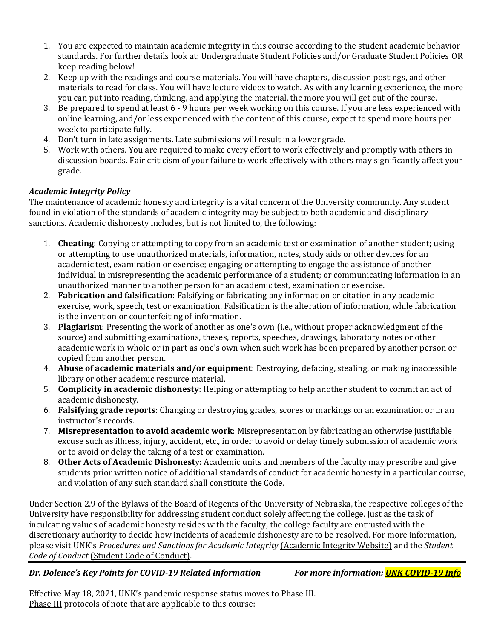- 1. You are expected to maintain academic integrity in this course according to the student academic behavior standards. For further details look at: Undergraduate Student Policies and/or Graduate Student Policies OR keep reading below!
- 2. Keep up with the readings and course materials. You will have chapters, discussion postings, and other materials to read for class. You will have lecture videos to watch. As with any learning experience, the more you can put into reading, thinking, and applying the material, the more you will get out of the course.
- 3. Be prepared to spend at least 6 9 hours per week working on this course. If you are less experienced with online learning, and/or less experienced with the content of this course, expect to spend more hours per week to participate fully.
- 4. Don't turn in late assignments. Late submissions will result in a lower grade.
- 5. Work with others. You are required to make every effort to work effectively and promptly with others in discussion boards. Fair criticism of your failure to work effectively with others may significantly affect your grade.

# *Academic Integrity Policy*

The maintenance of academic honesty and integrity is a vital concern of the University community. Any student found in violation of the standards of academic integrity may be subject to both academic and disciplinary sanctions. Academic dishonesty includes, but is not limited to, the following:

- 1. **Cheating**: Copying or attempting to copy from an academic test or examination of another student; using or attempting to use unauthorized materials, information, notes, study aids or other devices for an academic test, examination or exercise; engaging or attempting to engage the assistance of another individual in misrepresenting the academic performance of a student; or communicating information in an unauthorized manner to another person for an academic test, examination or exercise.
- 2. **Fabrication and falsification**: Falsifying or fabricating any information or citation in any academic exercise, work, speech, test or examination. Falsification is the alteration of information, while fabrication is the invention or counterfeiting of information.
- 3. **Plagiarism**: Presenting the work of another as one's own (i.e., without proper acknowledgment of the source) and submitting examinations, theses, reports, speeches, drawings, laboratory notes or other academic work in whole or in part as one's own when such work has been prepared by another person or copied from another person.
- 4. **Abuse of academic materials and/or equipment**: Destroying, defacing, stealing, or making inaccessible library or other academic resource material.
- 5. **Complicity in academic dishonesty**: Helping or attempting to help another student to commit an act of academic dishonesty.
- 6. **Falsifying grade reports**: Changing or destroying grades, scores or markings on an examination or in an instructor's records.
- 7. **Misrepresentation to avoid academic work**: Misrepresentation by fabricating an otherwise justifiable excuse such as illness, injury, accident, etc., in order to avoid or delay timely submission of academic work or to avoid or delay the taking of a test or examination.
- 8. **Other Acts of Academic Dishonest**y: Academic units and members of the faculty may prescribe and give students prior written notice of additional standards of conduct for academic honesty in a particular course, and violation of any such standard shall constitute the Code.

Under Section 2.9 of the Bylaws of the Board of Regents of the University of Nebraska, the respective colleges of the University have responsibility for addressing student conduct solely affecting the college. Just as the task of inculcating values of academic honesty resides with the faculty, the college faculty are entrusted with the discretionary authority to decide how incidents of academic dishonesty are to be resolved. For more information, please visit UNK's *Procedures and Sanctions for Academic Integrity* [\(Academic Integrity Website\)](https://www.unk.edu/offices/reslife/_documents/academic-integrity-policy.pdf) and the *Student Code of Conduct* [\(Student Code of Conduct\).](https://www.unk.edu/offices/reslife/_documents/university-of-nebraska-at-kearney-student-code-of-conduct.pdf)

# *Dr. Dolence's Key Points for COVID-19 Related Information For more information[: UNK COVID-19 Info](https://www.unk.edu/public-health/index.php)*

Effective May 18, 2021, UNK's pandemic response status moves to Phase III. Phase III protocols of note that are applicable to this course: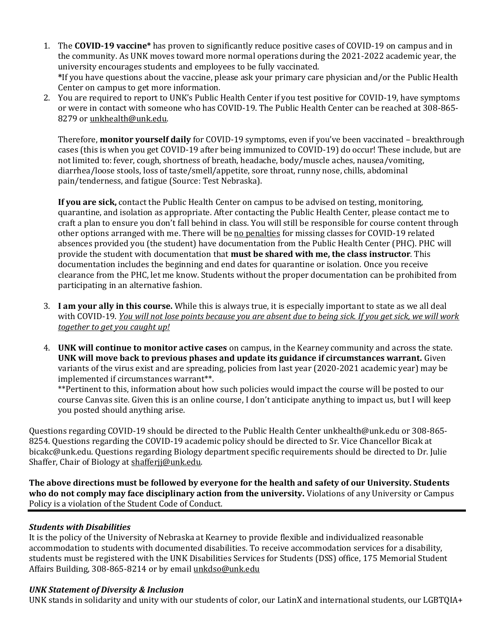- 1. The **COVID-19 vaccine\*** has proven to significantly reduce positive cases of COVID-19 on campus and in the community. As UNK moves toward more normal operations during the 2021-2022 academic year, the university encourages students and employees to be fully vaccinated. **\***If you have questions about the vaccine, please ask your primary care physician and/or the Public Health Center on campus to get more information.
- 2. You are required to report to UNK's Public Health Center if you test positive for COVID-19, have symptoms or were in contact with someone who has COVID-19. The Public Health Center can be reached at 308-865- 8279 o[r unkhealth@unk.edu.](mailto:unkhealth@unk.edu)

Therefore, **monitor yourself daily** for COVID-19 symptoms, even if you've been vaccinated – breakthrough cases (this is when you get COVID-19 after being immunized to COVID-19) do occur! These include, but are not limited to: fever, cough, shortness of breath, headache, body/muscle aches, nausea/vomiting, diarrhea/loose stools, loss of taste/smell/appetite, sore throat, runny nose, chills, abdominal pain/tenderness, and fatigue (Source: Test Nebraska).

**If you are sick,** contact the Public Health Center on campus to be advised on testing, monitoring, quarantine, and isolation as appropriate. After contacting the Public Health Center, please contact me to craft a plan to ensure you don't fall behind in class. You will still be responsible for course content through other options arranged with me. There will be no penalties for missing classes for COVID-19 related absences provided you (the student) have documentation from the Public Health Center (PHC). PHC will provide the student with documentation that **must be shared with me, the class instructor**. This documentation includes the beginning and end dates for quarantine or isolation. Once you receive clearance from the PHC, let me know. Students without the proper documentation can be prohibited from participating in an alternative fashion.

- 3. **I am your ally in this course.** While this is always true, it is especially important to state as we all deal with COVID-19. *You will not lose points because you are absent due to being sick. If you get sick, we will work together to get you caught up!*
- 4. **UNK will continue to monitor active cases** on campus, in the Kearney community and across the state. **UNK will move back to previous phases and update its guidance if circumstances warrant.** Given variants of the virus exist and are spreading, policies from last year (2020-2021 academic year) may be implemented if circumstances warrant\*\*.

\*\*Pertinent to this, information about how such policies would impact the course will be posted to our course Canvas site. Given this is an online course, I don't anticipate anything to impact us, but I will keep you posted should anything arise.

Questions regarding COVID-19 should be directed to the Public Health Center unkhealth@unk.edu or 308-865- 8254. Questions regarding the COVID-19 academic policy should be directed to Sr. Vice Chancellor Bicak at bicakc@unk.edu. Questions regarding Biology department specific requirements should be directed to Dr. Julie Shaffer, Chair of Biology at [shafferjj@unk.edu.](mailto:shafferjj@unk.edu)

**The above directions must be followed by everyone for the health and safety of our University. Students who do not comply may face disciplinary action from the university.** Violations of any University or Campus Policy is a violation of the Student Code of Conduct.

# *Students with Disabilities*

It is the policy of the University of Nebraska at Kearney to provide flexible and individualized reasonable accommodation to students with documented disabilities. To receive accommodation services for a disability, students must be registered with the UNK Disabilities Services for Students (DSS) office, 175 Memorial Student Affairs Building, 308-865-8214 or by email [unkdso@unk.edu](mailto:unkdso@unk.edu)

# *UNK Statement of Diversity & Inclusion*

UNK stands in solidarity and unity with our students of color, our LatinX and international students, our LGBTQIA+